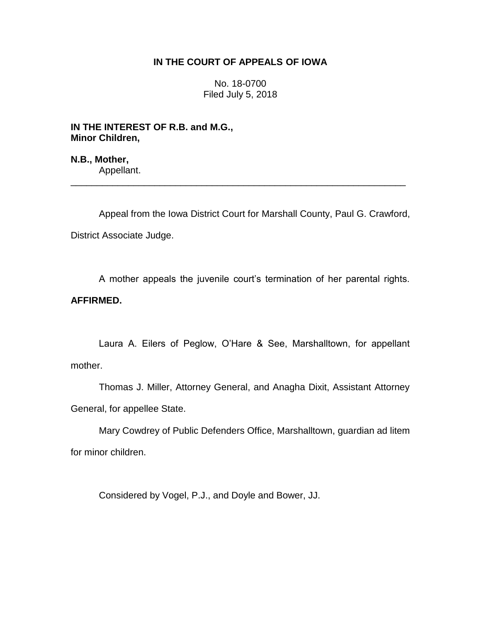# **IN THE COURT OF APPEALS OF IOWA**

No. 18-0700 Filed July 5, 2018

**IN THE INTEREST OF R.B. and M.G., Minor Children,**

**N.B., Mother,** Appellant.

Appeal from the Iowa District Court for Marshall County, Paul G. Crawford, District Associate Judge.

\_\_\_\_\_\_\_\_\_\_\_\_\_\_\_\_\_\_\_\_\_\_\_\_\_\_\_\_\_\_\_\_\_\_\_\_\_\_\_\_\_\_\_\_\_\_\_\_\_\_\_\_\_\_\_\_\_\_\_\_\_\_\_\_

A mother appeals the juvenile court's termination of her parental rights. **AFFIRMED.**

Laura A. Eilers of Peglow, O'Hare & See, Marshalltown, for appellant mother.

Thomas J. Miller, Attorney General, and Anagha Dixit, Assistant Attorney General, for appellee State.

Mary Cowdrey of Public Defenders Office, Marshalltown, guardian ad litem for minor children.

Considered by Vogel, P.J., and Doyle and Bower, JJ.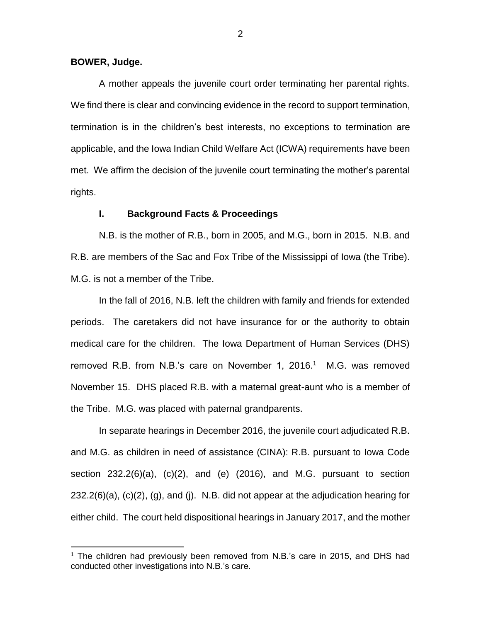### **BOWER, Judge.**

 $\overline{a}$ 

A mother appeals the juvenile court order terminating her parental rights. We find there is clear and convincing evidence in the record to support termination, termination is in the children's best interests, no exceptions to termination are applicable, and the Iowa Indian Child Welfare Act (ICWA) requirements have been met. We affirm the decision of the juvenile court terminating the mother's parental rights.

## **I. Background Facts & Proceedings**

N.B. is the mother of R.B., born in 2005, and M.G., born in 2015. N.B. and R.B. are members of the Sac and Fox Tribe of the Mississippi of Iowa (the Tribe). M.G. is not a member of the Tribe.

In the fall of 2016, N.B. left the children with family and friends for extended periods. The caretakers did not have insurance for or the authority to obtain medical care for the children. The Iowa Department of Human Services (DHS) removed R.B. from N.B.'s care on November 1, 2016.<sup>1</sup> M.G. was removed November 15. DHS placed R.B. with a maternal great-aunt who is a member of the Tribe. M.G. was placed with paternal grandparents.

In separate hearings in December 2016, the juvenile court adjudicated R.B. and M.G. as children in need of assistance (CINA): R.B. pursuant to Iowa Code section  $232.2(6)(a)$ ,  $(c)(2)$ , and  $(e)$   $(2016)$ , and M.G. pursuant to section 232.2(6)(a), (c)(2), (g), and (j). N.B. did not appear at the adjudication hearing for either child. The court held dispositional hearings in January 2017, and the mother

<sup>&</sup>lt;sup>1</sup> The children had previously been removed from N.B.'s care in 2015, and DHS had conducted other investigations into N.B.'s care.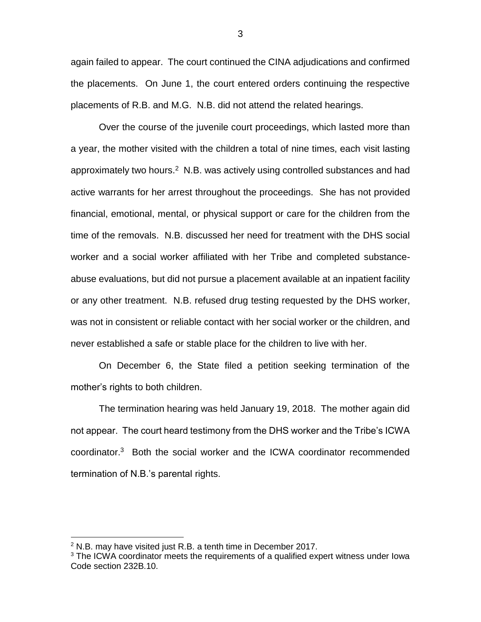again failed to appear. The court continued the CINA adjudications and confirmed the placements. On June 1, the court entered orders continuing the respective placements of R.B. and M.G. N.B. did not attend the related hearings.

Over the course of the juvenile court proceedings, which lasted more than a year, the mother visited with the children a total of nine times, each visit lasting approximately two hours.<sup>2</sup> N.B. was actively using controlled substances and had active warrants for her arrest throughout the proceedings. She has not provided financial, emotional, mental, or physical support or care for the children from the time of the removals. N.B. discussed her need for treatment with the DHS social worker and a social worker affiliated with her Tribe and completed substanceabuse evaluations, but did not pursue a placement available at an inpatient facility or any other treatment. N.B. refused drug testing requested by the DHS worker, was not in consistent or reliable contact with her social worker or the children, and never established a safe or stable place for the children to live with her.

On December 6, the State filed a petition seeking termination of the mother's rights to both children.

The termination hearing was held January 19, 2018. The mother again did not appear. The court heard testimony from the DHS worker and the Tribe's ICWA coordinator.<sup>3</sup> Both the social worker and the ICWA coordinator recommended termination of N.B.'s parental rights.

 $\overline{a}$ 

3

 $2$  N.B. may have visited just R.B. a tenth time in December 2017.

<sup>&</sup>lt;sup>3</sup> The ICWA coordinator meets the requirements of a qualified expert witness under Iowa Code section 232B.10.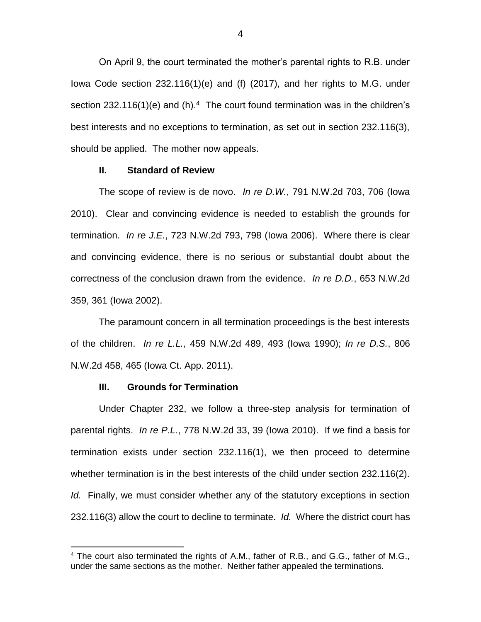On April 9, the court terminated the mother's parental rights to R.B. under Iowa Code section 232.116(1)(e) and (f) (2017), and her rights to M.G. under section 232.116(1)(e) and (h).<sup>4</sup> The court found termination was in the children's best interests and no exceptions to termination, as set out in section 232.116(3), should be applied. The mother now appeals.

# **II. Standard of Review**

The scope of review is de novo. *In re D.W.*, 791 N.W.2d 703, 706 (Iowa 2010). Clear and convincing evidence is needed to establish the grounds for termination. *In re J.E.*, 723 N.W.2d 793, 798 (Iowa 2006). Where there is clear and convincing evidence, there is no serious or substantial doubt about the correctness of the conclusion drawn from the evidence. *In re D.D.*, 653 N.W.2d 359, 361 (Iowa 2002).

The paramount concern in all termination proceedings is the best interests of the children. *In re L.L.*, 459 N.W.2d 489, 493 (Iowa 1990); *In re D.S.*, 806 N.W.2d 458, 465 (Iowa Ct. App. 2011).

## **III. Grounds for Termination**

 $\overline{a}$ 

Under Chapter 232, we follow a three-step analysis for termination of parental rights. *In re P.L.*, 778 N.W.2d 33, 39 (Iowa 2010). If we find a basis for termination exists under section 232.116(1), we then proceed to determine whether termination is in the best interests of the child under section 232.116(2). *Id.* Finally, we must consider whether any of the statutory exceptions in section 232.116(3) allow the court to decline to terminate. *Id.* Where the district court has

<sup>&</sup>lt;sup>4</sup> The court also terminated the rights of A.M., father of R.B., and G.G., father of M.G., under the same sections as the mother. Neither father appealed the terminations.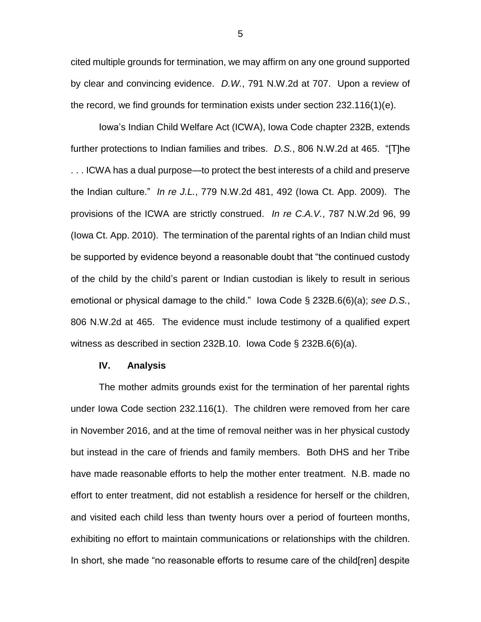cited multiple grounds for termination, we may affirm on any one ground supported by clear and convincing evidence. *D.W.*, 791 N.W.2d at 707. Upon a review of the record, we find grounds for termination exists under section 232.116(1)(e).

Iowa's Indian Child Welfare Act (ICWA), Iowa Code chapter 232B, extends further protections to Indian families and tribes. *D.S.*, 806 N.W.2d at 465. "[T]he . . . ICWA has a dual purpose—to protect the best interests of a child and preserve the Indian culture." *In re J.L.*, 779 N.W.2d 481, 492 (Iowa Ct. App. 2009). The provisions of the ICWA are strictly construed. *In re C.A.V.*, 787 N.W.2d 96, 99 (Iowa Ct. App. 2010). The termination of the parental rights of an Indian child must be supported by evidence beyond a reasonable doubt that "the continued custody of the child by the child's parent or Indian custodian is likely to result in serious emotional or physical damage to the child." Iowa Code § 232B.6(6)(a); *see D.S.*, 806 N.W.2d at 465. The evidence must include testimony of a qualified expert witness as described in section 232B.10. Iowa Code § 232B.6(6)(a).

#### **IV. Analysis**

The mother admits grounds exist for the termination of her parental rights under Iowa Code section 232.116(1). The children were removed from her care in November 2016, and at the time of removal neither was in her physical custody but instead in the care of friends and family members. Both DHS and her Tribe have made reasonable efforts to help the mother enter treatment. N.B. made no effort to enter treatment, did not establish a residence for herself or the children, and visited each child less than twenty hours over a period of fourteen months, exhibiting no effort to maintain communications or relationships with the children. In short, she made "no reasonable efforts to resume care of the child[ren] despite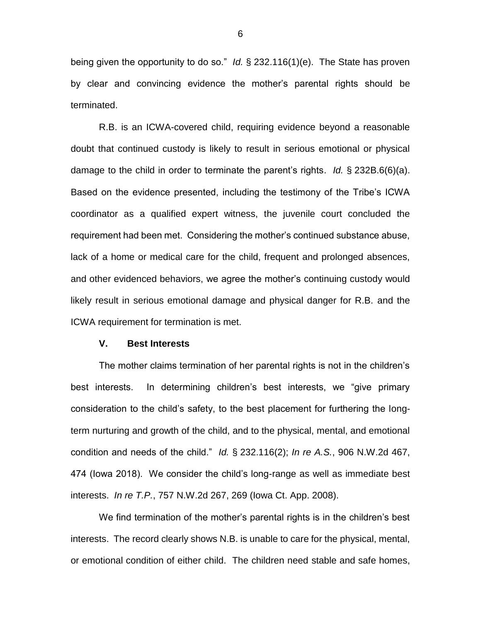being given the opportunity to do so." *Id.* § 232.116(1)(e). The State has proven by clear and convincing evidence the mother's parental rights should be terminated.

R.B. is an ICWA-covered child, requiring evidence beyond a reasonable doubt that continued custody is likely to result in serious emotional or physical damage to the child in order to terminate the parent's rights. *Id.* § 232B.6(6)(a). Based on the evidence presented, including the testimony of the Tribe's ICWA coordinator as a qualified expert witness, the juvenile court concluded the requirement had been met. Considering the mother's continued substance abuse, lack of a home or medical care for the child, frequent and prolonged absences, and other evidenced behaviors, we agree the mother's continuing custody would likely result in serious emotional damage and physical danger for R.B. and the ICWA requirement for termination is met.

## **V. Best Interests**

The mother claims termination of her parental rights is not in the children's best interests. In determining children's best interests, we "give primary consideration to the child's safety, to the best placement for furthering the longterm nurturing and growth of the child, and to the physical, mental, and emotional condition and needs of the child." *Id.* § 232.116(2); *In re A.S.*, 906 N.W.2d 467, 474 (Iowa 2018). We consider the child's long-range as well as immediate best interests. *In re T.P.*, 757 N.W.2d 267, 269 (Iowa Ct. App. 2008).

We find termination of the mother's parental rights is in the children's best interests. The record clearly shows N.B. is unable to care for the physical, mental, or emotional condition of either child. The children need stable and safe homes,

6